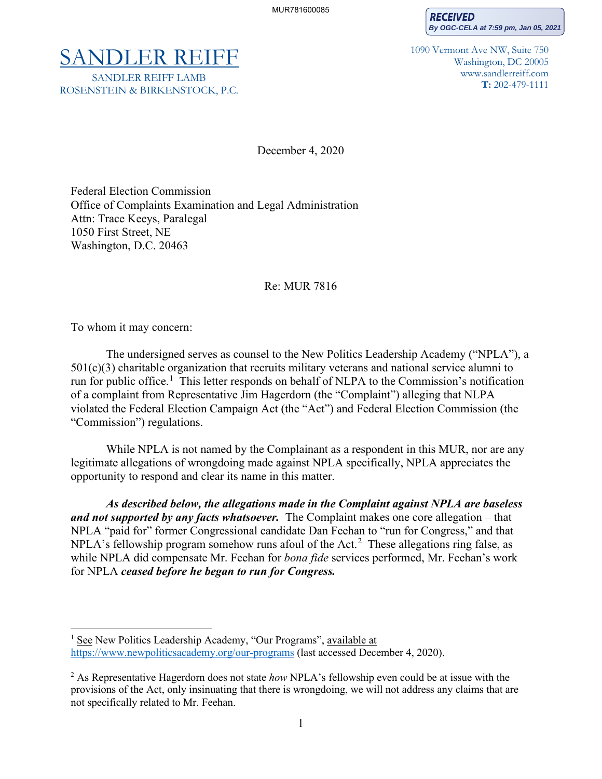MUR781600085

**RECEIVED By OGC-CELA at 7:59 pm, Jan 05, 2021**

ROSENSTEIN & BIRKENSTOCK, P.C.

 $\sum \text{FR} \text{ R} \text{EIFF}$  1090 Vermont Ave NW, Suite 750 Washington, DC 20005 www.sandlerreiff.com **T:** 202-479-1111 SANDLER REIFF LAMB

December 4, 2020

Federal Election Commission Office of Complaints Examination and Legal Administration Attn: Trace Keeys, Paralegal 1050 First Street, NE Washington, D.C. 20463

# Re: MUR 7816

To whom it may concern:

The undersigned serves as counsel to the New Politics Leadership Academy ("NPLA"), a 501(c)(3) charitable organization that recruits military veterans and national service alumni to run for public office.<sup>[1](#page-0-0)</sup> This letter responds on behalf of NLPA to the Commission's notification of a complaint from Representative Jim Hagerdorn (the "Complaint") alleging that NLPA violated the Federal Election Campaign Act (the "Act") and Federal Election Commission (the "Commission") regulations.

While NPLA is not named by the Complainant as a respondent in this MUR, nor are any legitimate allegations of wrongdoing made against NPLA specifically, NPLA appreciates the opportunity to respond and clear its name in this matter.

*As described below, the allegations made in the Complaint against NPLA are baseless and not supported by any facts whatsoever.* The Complaint makes one core allegation – that NPLA "paid for" former Congressional candidate Dan Feehan to "run for Congress," and that NPLA's fellowship program somehow runs afoul of the Act.<sup>[2](#page-0-1)</sup> These allegations ring false, as while NPLA did compensate Mr. Feehan for *bona fide* services performed, Mr. Feehan's work for NPLA *ceased before he began to run for Congress.* 

<span id="page-0-0"></span><sup>&</sup>lt;sup>1</sup> See New Politics Leadership Academy, "Our Programs", available at <https://www.newpoliticsacademy.org/our-programs> (last accessed December 4, 2020).

<span id="page-0-1"></span><sup>2</sup> As Representative Hagerdorn does not state *how* NPLA's fellowship even could be at issue with the provisions of the Act, only insinuating that there is wrongdoing, we will not address any claims that are not specifically related to Mr. Feehan.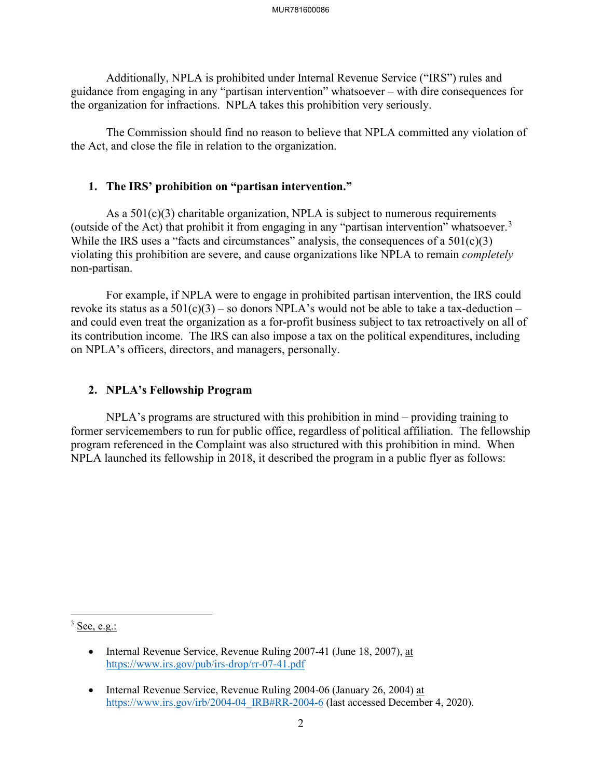Additionally, NPLA is prohibited under Internal Revenue Service ("IRS") rules and guidance from engaging in any "partisan intervention" whatsoever – with dire consequences for the organization for infractions. NPLA takes this prohibition very seriously.

The Commission should find no reason to believe that NPLA committed any violation of the Act, and close the file in relation to the organization.

#### **1. The IRS' prohibition on "partisan intervention."**

As a 501(c)(3) charitable organization, NPLA is subject to numerous requirements (outside of the Act) that prohibit it from engaging in any "partisan intervention" whatsoever.<sup>[3](#page-1-0)</sup> While the IRS uses a "facts and circumstances" analysis, the consequences of a  $501(c)(3)$ violating this prohibition are severe, and cause organizations like NPLA to remain *completely* non-partisan.

For example, if NPLA were to engage in prohibited partisan intervention, the IRS could revoke its status as a  $501(c)(3)$  – so donors NPLA's would not be able to take a tax-deduction – and could even treat the organization as a for-profit business subject to tax retroactively on all of its contribution income. The IRS can also impose a tax on the political expenditures, including on NPLA's officers, directors, and managers, personally.

#### **2. NPLA's Fellowship Program**

NPLA's programs are structured with this prohibition in mind – providing training to former servicemembers to run for public office, regardless of political affiliation. The fellowship program referenced in the Complaint was also structured with this prohibition in mind. When NPLA launched its fellowship in 2018, it described the program in a public flyer as follows:

<span id="page-1-0"></span> $3$  See, e.g.:

<sup>•</sup> Internal Revenue Service, Revenue Ruling 2007-41 (June 18, 2007), at <https://www.irs.gov/pub/irs-drop/rr-07-41.pdf>

<sup>•</sup> Internal Revenue Service, Revenue Ruling 2004-06 (January 26, 2004) at [https://www.irs.gov/irb/2004-04\\_IRB#RR-2004-6](https://www.irs.gov/irb/2004-04_IRB#RR-2004-6) (last accessed December 4, 2020).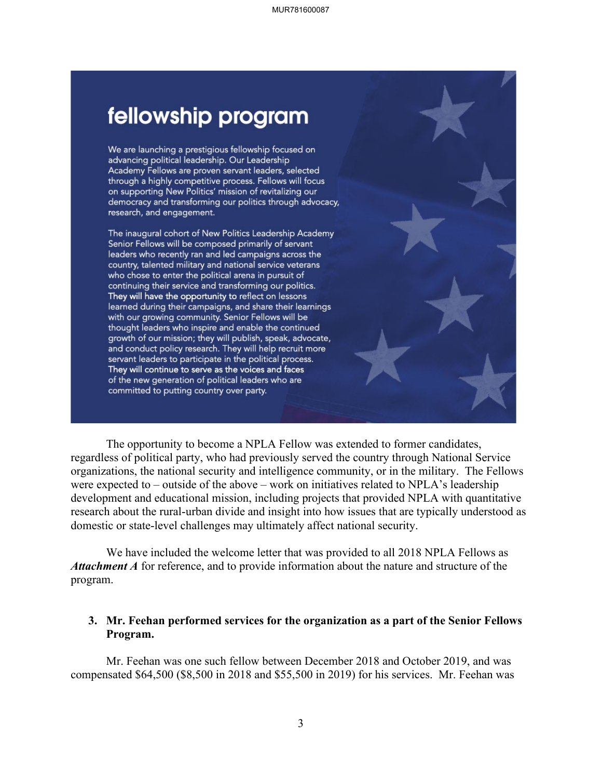# fellowship program

We are launching a prestigious fellowship focused on advancing political leadership. Our Leadership Academy Fellows are proven servant leaders, selected through a highly competitive process. Fellows will focus on supporting New Politics' mission of revitalizing our democracy and transforming our politics through advocacy, research, and engagement.

The inaugural cohort of New Politics Leadership Academy Senior Fellows will be composed primarily of servant leaders who recently ran and led campaigns across the country, talented military and national service veterans who chose to enter the political arena in pursuit of continuing their service and transforming our politics. They will have the opportunity to reflect on lessons learned during their campaigns, and share their learnings with our growing community. Senior Fellows will be thought leaders who inspire and enable the continued growth of our mission; they will publish, speak, advocate, and conduct policy research. They will help recruit more servant leaders to participate in the political process. They will continue to serve as the voices and faces of the new generation of political leaders who are committed to putting country over party.

The opportunity to become a NPLA Fellow was extended to former candidates, regardless of political party, who had previously served the country through National Service organizations, the national security and intelligence community, or in the military. The Fellows were expected to – outside of the above – work on initiatives related to NPLA's leadership development and educational mission, including projects that provided NPLA with quantitative research about the rural-urban divide and insight into how issues that are typically understood as domestic or state-level challenges may ultimately affect national security.

We have included the welcome letter that was provided to all 2018 NPLA Fellows as *Attachment A* for reference, and to provide information about the nature and structure of the program.

# **3. Mr. Feehan performed services for the organization as a part of the Senior Fellows Program.**

Mr. Feehan was one such fellow between December 2018 and October 2019, and was compensated \$64,500 (\$8,500 in 2018 and \$55,500 in 2019) for his services. Mr. Feehan was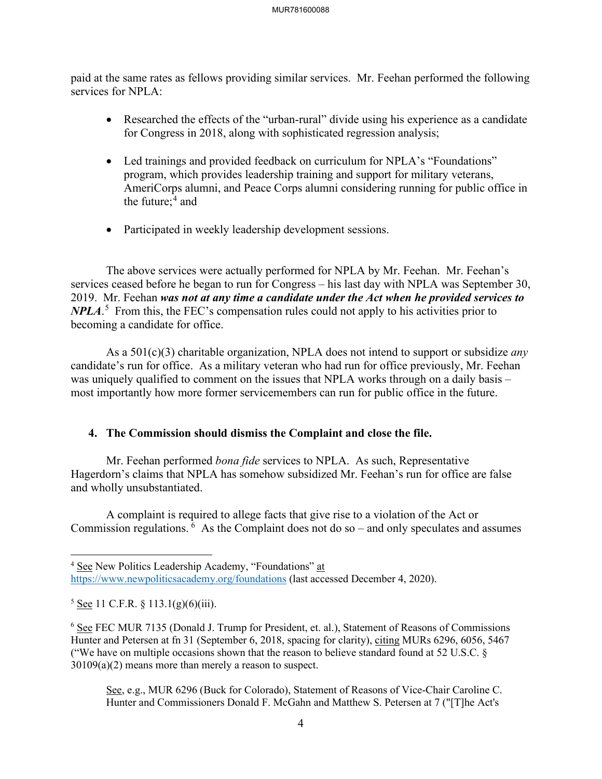paid at the same rates as fellows providing similar services. Mr. Feehan performed the following services for NPLA:

- Researched the effects of the "urban-rural" divide using his experience as a candidate for Congress in 2018, along with sophisticated regression analysis;
- Led trainings and provided feedback on curriculum for NPLA's "Foundations" program, which provides leadership training and support for military veterans, AmeriCorps alumni, and Peace Corps alumni considering running for public office in the future; $4$  and
- Participated in weekly leadership development sessions.

The above services were actually performed for NPLA by Mr. Feehan. Mr. Feehan's services ceased before he began to run for Congress – his last day with NPLA was September 30, 2019. Mr. Feehan *was not at any time a candidate under the Act when he provided services to NPLA*. [5](#page-3-1) From this, the FEC's compensation rules could not apply to his activities prior to becoming a candidate for office.

As a 501(c)(3) charitable organization, NPLA does not intend to support or subsidize *any* candidate's run for office. As a military veteran who had run for office previously, Mr. Feehan was uniquely qualified to comment on the issues that NPLA works through on a daily basis – most importantly how more former servicemembers can run for public office in the future.

# **4. The Commission should dismiss the Complaint and close the file.**

Mr. Feehan performed *bona fide* services to NPLA. As such, Representative Hagerdorn's claims that NPLA has somehow subsidized Mr. Feehan's run for office are false and wholly unsubstantiated.

A complaint is required to allege facts that give rise to a violation of the Act or Commission regulations.  $6$  As the Complaint does not do so – and only speculates and assumes

See, e.g., MUR 6296 (Buck for Colorado), Statement of Reasons of Vice-Chair Caroline C. Hunter and Commissioners Donald F. McGahn and Matthew S. Petersen at 7 ("[T]he Act's

<span id="page-3-0"></span><sup>&</sup>lt;sup>4</sup> See New Politics Leadership Academy, "Foundations" at <https://www.newpoliticsacademy.org/foundations> (last accessed December 4, 2020).

<span id="page-3-1"></span> $5$  See 11 C.F.R.  $\frac{$13.1(g)(6)(iii)}{2}$ .

<span id="page-3-2"></span><sup>&</sup>lt;sup>6</sup> See FEC MUR 7135 (Donald J. Trump for President, et. al.), Statement of Reasons of Commissions Hunter and Petersen at fn 31 (September 6, 2018, spacing for clarity), citing MURs 6296, 6056, 5467 ("We have on multiple occasions shown that the reason to believe standard found at 52 U.S.C. § 30109(a)(2) means more than merely a reason to suspect.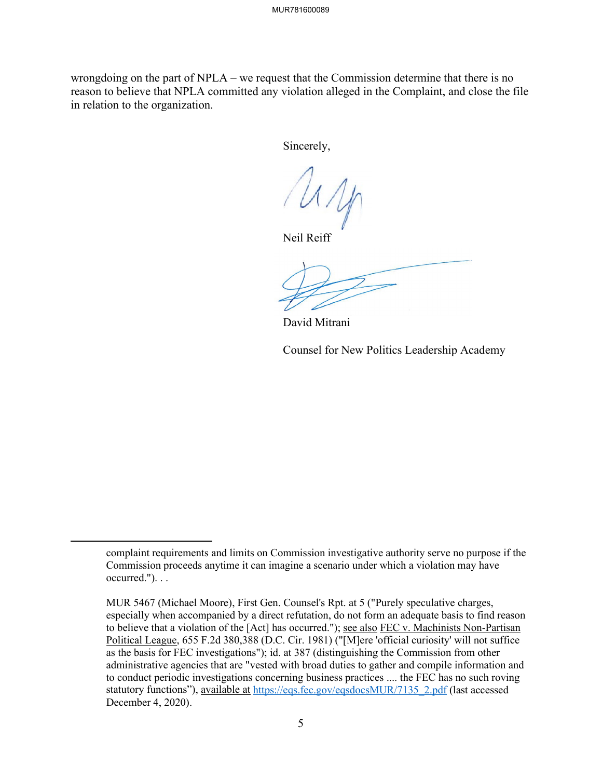wrongdoing on the part of NPLA – we request that the Commission determine that there is no reason to believe that NPLA committed any violation alleged in the Complaint, and close the file in relation to the organization.

Sincerely,

Neil Reiff

David Mitrani

Counsel for New Politics Leadership Academy

complaint requirements and limits on Commission investigative authority serve no purpose if the Commission proceeds anytime it can imagine a scenario under which a violation may have occurred."). . .

MUR 5467 (Michael Moore), First Gen. Counsel's Rpt. at 5 ("Purely speculative charges, especially when accompanied by a direct refutation, do not form an adequate basis to find reason to believe that a violation of the [Act] has occurred."); see also FEC v. Machinists Non-Partisan Political League, 655 F.2d 380,388 (D.C. Cir. 1981) ("[M]ere 'official curiosity' will not suffice as the basis for FEC investigations"); id. at 387 (distinguishing the Commission from other administrative agencies that are "vested with broad duties to gather and compile information and to conduct periodic investigations concerning business practices .... the FEC has no such roving statutory functions"), available at [https://eqs.fec.gov/eqsdocsMUR/7135\\_2.pdf](https://eqs.fec.gov/eqsdocsMUR/7135_2.pdf) (last accessed December 4, 2020).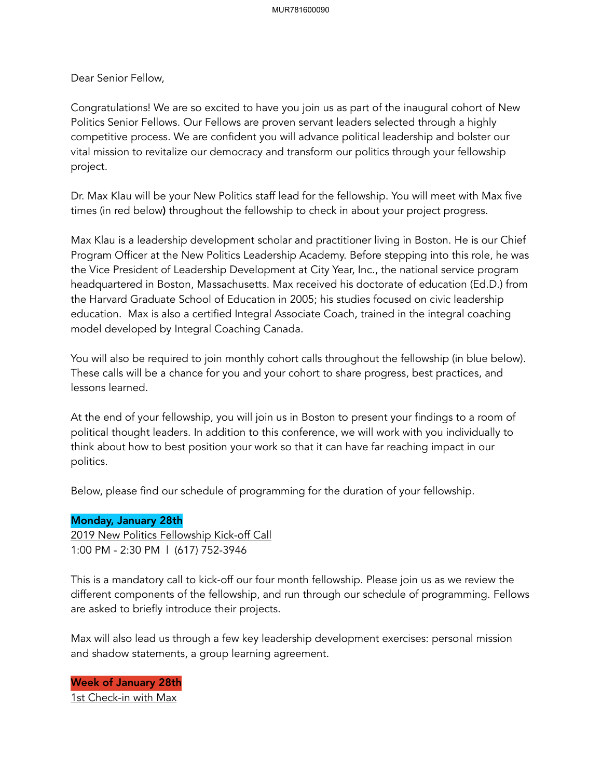Dear Senior Fellow,

Congratulations! We are so excited to have you join us as part of the inaugural cohort of New Politics Senior Fellows. Our Fellows are proven servant leaders selected through a highly competitive process. We are confident you will advance political leadership and bolster our vital mission to revitalize our democracy and transform our politics through your fellowship project.

Dr. Max Klau will be your New Politics staff lead for the fellowship. You will meet with Max five times (in red below) throughout the fellowship to check in about your project progress.

Max Klau is a leadership development scholar and practitioner living in Boston. He is our Chief Program Officer at the New Politics Leadership Academy. Before stepping into this role, he was the Vice President of Leadership Development at City Year, Inc., the national service program headquartered in Boston, Massachusetts. Max received his doctorate of education (Ed.D.) from the Harvard Graduate School of Education in 2005; his studies focused on civic leadership education. Max is also a certified Integral Associate Coach, trained in the integral coaching model developed by Integral Coaching Canada.

You will also be required to join monthly cohort calls throughout the fellowship (in blue below). These calls will be a chance for you and your cohort to share progress, best practices, and lessons learned.

At the end of your fellowship, you will join us in Boston to present your findings to a room of political thought leaders. In addition to this conference, we will work with you individually to think about how to best position your work so that it can have far reaching impact in our politics.

Below, please find our schedule of programming for the duration of your fellowship.

#### Monday, January 28th

2019 New Politics Fellowship Kick-off Call 1:00 PM - 2:30 PM | (617) 752-3946

This is a mandatory call to kick-off our four month fellowship. Please join us as we review the different components of the fellowship, and run through our schedule of programming. Fellows are asked to briefly introduce their projects.

Max will also lead us through a few key leadership development exercises: personal mission and shadow statements, a group learning agreement.

Week of January 28th 1st Check-in with Max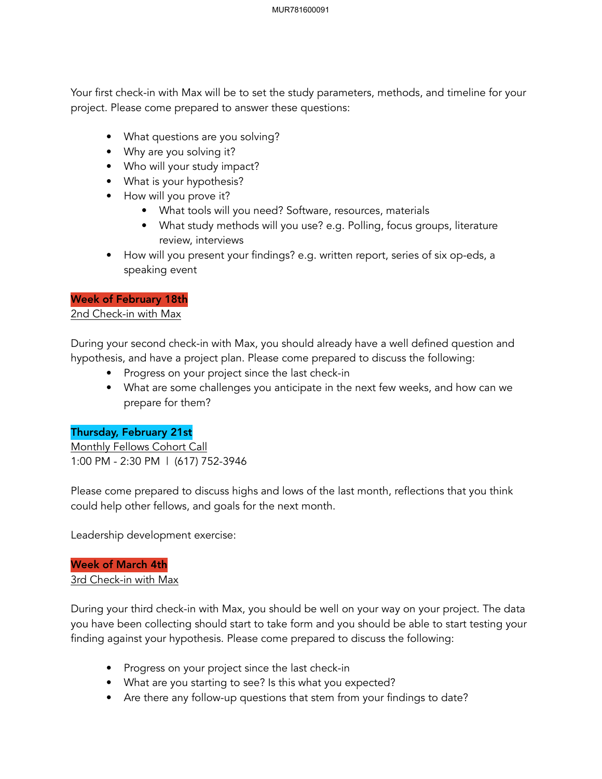Your first check-in with Max will be to set the study parameters, methods, and timeline for your project. Please come prepared to answer these questions:

- What questions are you solving?
- Why are you solving it?
- Who will your study impact?
- What is your hypothesis?
- How will you prove it?
	- What tools will you need? Software, resources, materials
	- What study methods will you use? e.g. Polling, focus groups, literature review, interviews
- How will you present your findings? e.g. written report, series of six op-eds, a speaking event

# Week of February 18th

# 2nd Check-in with Max

During your second check-in with Max, you should already have a well defined question and hypothesis, and have a project plan. Please come prepared to discuss the following:

- Progress on your project since the last check-in
- What are some challenges you anticipate in the next few weeks, and how can we prepare for them?

# Thursday, February 21st

Monthly Fellows Cohort Call 1:00 PM - 2:30 PM | (617) 752-3946

Please come prepared to discuss highs and lows of the last month, reflections that you think could help other fellows, and goals for the next month.

Leadership development exercise:

# Week of March 4th

# 3rd Check-in with Max

During your third check-in with Max, you should be well on your way on your project. The data you have been collecting should start to take form and you should be able to start testing your finding against your hypothesis. Please come prepared to discuss the following:

- Progress on your project since the last check-in
- What are you starting to see? Is this what you expected?
- Are there any follow-up questions that stem from your findings to date?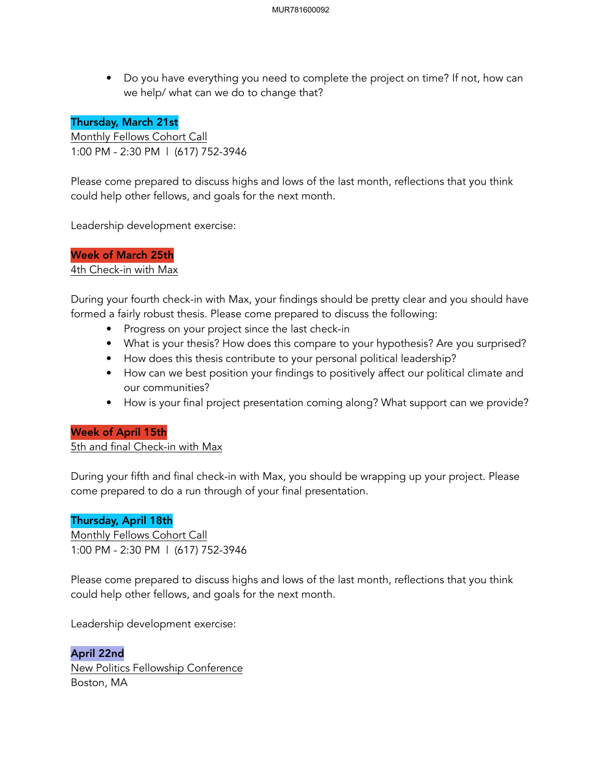• Do you have everything you need to complete the project on time? If not, how can we help/ what can we do to change that?

# Thursday, March 21st

Monthly Fellows Cohort Call 1:00 PM - 2:30 PM | (617) 752-3946

Please come prepared to discuss highs and lows of the last month, reflections that you think could help other fellows, and goals for the next month.

Leadership development exercise:

Week of March 25th 4th Check-in with Max

During your fourth check-in with Max, your findings should be pretty clear and you should have formed a fairly robust thesis. Please come prepared to discuss the following:

- Progress on your project since the last check-in
- What is your thesis? How does this compare to your hypothesis? Are you surprised?
- How does this thesis contribute to your personal political leadership?
- How can we best position your findings to positively affect our political climate and our communities?
- How is your final project presentation coming along? What support can we provide?

# Week of April 15th

5th and final Check-in with Max

During your fifth and final check-in with Max, you should be wrapping up your project. Please come prepared to do a run through of your final presentation.

# Thursday, April 18th

Monthly Fellows Cohort Call 1:00 PM - 2:30 PM | (617) 752-3946

Please come prepared to discuss highs and lows of the last month, reflections that you think could help other fellows, and goals for the next month.

Leadership development exercise:

April 22nd New Politics Fellowship Conference Boston, MA